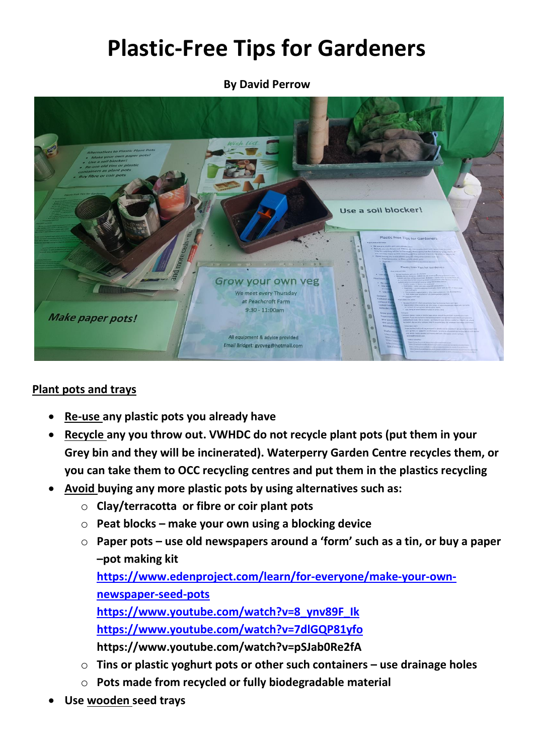# **Plastic-Free Tips for Gardeners**

**By David Perrow**



# **Plant pots and trays**

- **Re-use any plastic pots you already have**
- **Recycle any you throw out. VWHDC do not recycle plant pots (put them in your Grey bin and they will be incinerated). Waterperry Garden Centre recycles them, or you can take them to OCC recycling centres and put them in the plastics recycling**
- **Avoid buying any more plastic pots by using alternatives such as:**
	- o **Clay/terracotta or fibre or coir plant pots**
	- o **Peat blocks – make your own using a blocking device**
	- o **Paper pots – use old newspapers around a 'form' such as a tin, or buy a paper –pot making kit**

**[https://www.edenproject.com/learn/for-everyone/make-your-own](https://www.edenproject.com/learn/for-everyone/make-your-own-newspaper-seed-pots)[newspaper-seed-pots](https://www.edenproject.com/learn/for-everyone/make-your-own-newspaper-seed-pots)**

**[https://www.youtube.com/watch?v=8\\_ynv89F\\_Ik](https://www.youtube.com/watch?v=8_ynv89F_Ik) <https://www.youtube.com/watch?v=7dlGQP81yfo> https://www.youtube.com/watch?v=pSJab0Re2fA**

- o **Tins or plastic yoghurt pots or other such containers – use drainage holes**
- o **Pots made from recycled or fully biodegradable material**
- **Use wooden seed trays**